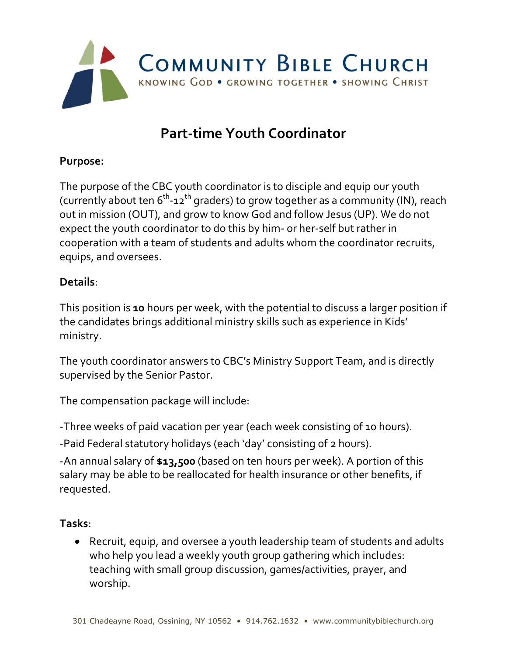

# **Part-time Youth Coordinator**

### **Purpose:**

The purpose of the CBC youth coordinator is to disciple and equip our youth (currently about ten 6 $^{\rm th}$ -12 $^{\rm th}$  graders) to grow together as a community (IN), reach out in mission (OUT), and grow to know God and follow Jesus (UP). We do not expect the youth coordinator to do this by him- or her-self but rather in cooperation with a team of students and adults whom the coordinator recruits, equips, and oversees.

#### **Details**:

This position is **10** hours per week, with the potential to discuss a larger position if the candidates brings additional ministry skills such as experience in Kids' ministry.

The youth coordinator answers to CBC's Ministry Support Team, and is directly supervised by the Senior Pastor.

The compensation package will include:

-Three weeks of paid vacation per year (each week consisting of 10 hours).

-Paid Federal statutory holidays (each 'day' consisting of 2 hours).

-An annual salary of **\$13,500** (based on ten hours per week). A portion of this salary may be able to be reallocated for health insurance or other benefits, if requested.

### **Tasks**:

• Recruit, equip, and oversee a youth leadership team of students and adults who help you lead a weekly youth group gathering which includes: teaching with small group discussion, games/activities, prayer, and worship.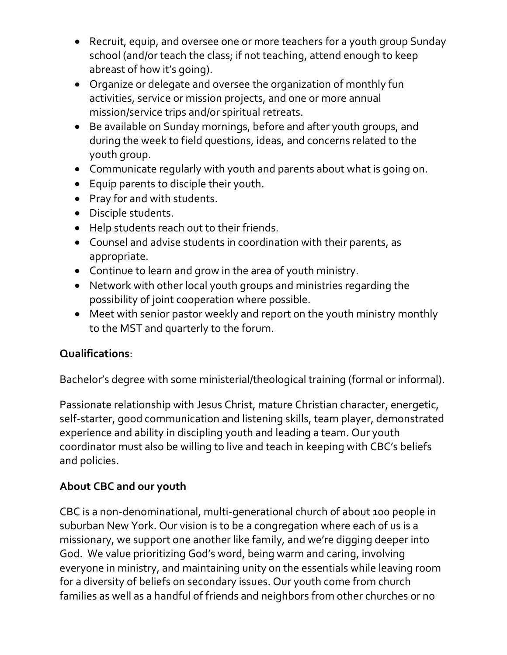- Recruit, equip, and oversee one or more teachers for a youth group Sunday school (and/or teach the class; if not teaching, attend enough to keep abreast of how it's going).
- Organize or delegate and oversee the organization of monthly fun activities, service or mission projects, and one or more annual mission/service trips and/or spiritual retreats.
- Be available on Sunday mornings, before and after youth groups, and during the week to field questions, ideas, and concerns related to the youth group.
- Communicate regularly with youth and parents about what is going on.
- Equip parents to disciple their youth.
- Pray for and with students.
- Disciple students.
- Help students reach out to their friends.
- Counsel and advise students in coordination with their parents, as appropriate.
- Continue to learn and grow in the area of youth ministry.
- Network with other local youth groups and ministries regarding the possibility of joint cooperation where possible.
- Meet with senior pastor weekly and report on the youth ministry monthly to the MST and quarterly to the forum.

## **Qualifications**:

Bachelor's degree with some ministerial/theological training (formal or informal).

Passionate relationship with Jesus Christ, mature Christian character, energetic, self-starter, good communication and listening skills, team player, demonstrated experience and ability in discipling youth and leading a team. Our youth coordinator must also be willing to live and teach in keeping with CBC's beliefs and policies.

## **About CBC and our youth**

CBC is a non-denominational, multi-generational church of about 100 people in suburban New York. Our vision is to be a congregation where each of us is a missionary, we support one another like family, and we're digging deeper into God. We value prioritizing God's word, being warm and caring, involving everyone in ministry, and maintaining unity on the essentials while leaving room for a diversity of beliefs on secondary issues. Our youth come from church families as well as a handful of friends and neighbors from other churches or no